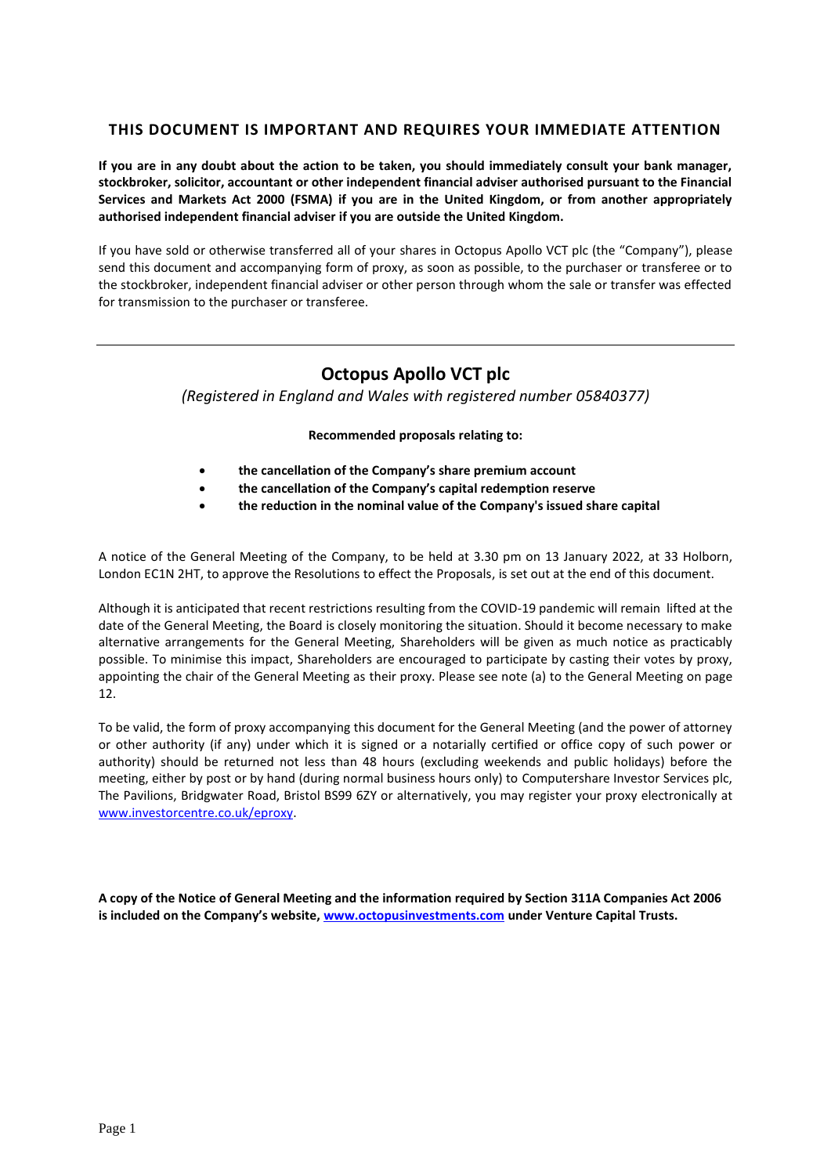# **THIS DOCUMENT IS IMPORTANT AND REQUIRES YOUR IMMEDIATE ATTENTION**

**If you are in any doubt about the action to be taken, you should immediately consult your bank manager, stockbroker, solicitor, accountant or other independent financial adviser authorised pursuant to the Financial Services and Markets Act 2000 (FSMA) if you are in the United Kingdom, or from another appropriately authorised independent financial adviser if you are outside the United Kingdom.** 

If you have sold or otherwise transferred all of your shares in Octopus Apollo VCT plc (the "Company"), please send this document and accompanying form of proxy, as soon as possible, to the purchaser or transferee or to the stockbroker, independent financial adviser or other person through whom the sale or transfer was effected for transmission to the purchaser or transferee.

# **Octopus Apollo VCT plc**

*(Registered in England and Wales with registered number 05840377)*

# **Recommended proposals relating to:**

- **the cancellation of the Company's share premium account**
- **the cancellation of the Company's capital redemption reserve**
- **the reduction in the nominal value of the Company's issued share capital**

A notice of the General Meeting of the Company, to be held at 3.30 pm on 13 January 2022, at 33 Holborn, London EC1N 2HT, to approve the Resolutions to effect the Proposals, is set out at the end of this document.

Although it is anticipated that recent restrictions resulting from the COVID-19 pandemic will remain lifted at the date of the General Meeting, the Board is closely monitoring the situation. Should it become necessary to make alternative arrangements for the General Meeting, Shareholders will be given as much notice as practicably possible. To minimise this impact, Shareholders are encouraged to participate by casting their votes by proxy, appointing the chair of the General Meeting as their proxy. Please see note (a) to the General Meeting on page 12.

To be valid, the form of proxy accompanying this document for the General Meeting (and the power of attorney or other authority (if any) under which it is signed or a notarially certified or office copy of such power or authority) should be returned not less than 48 hours (excluding weekends and public holidays) before the meeting, either by post or by hand (during normal business hours only) to Computershare Investor Services plc, The Pavilions, Bridgwater Road, Bristol BS99 6ZY or alternatively, you may register your proxy electronically at [www.investorcentre.co.uk/eproxy.](http://www.investorcentre.co.uk/eproxy)

**A copy of the Notice of General Meeting and the information required by Section 311A Companies Act 2006 is included on the Company's website, [www.octopusinvestments.com](http://www.octopusinvestments.com/) under Venture Capital Trusts.**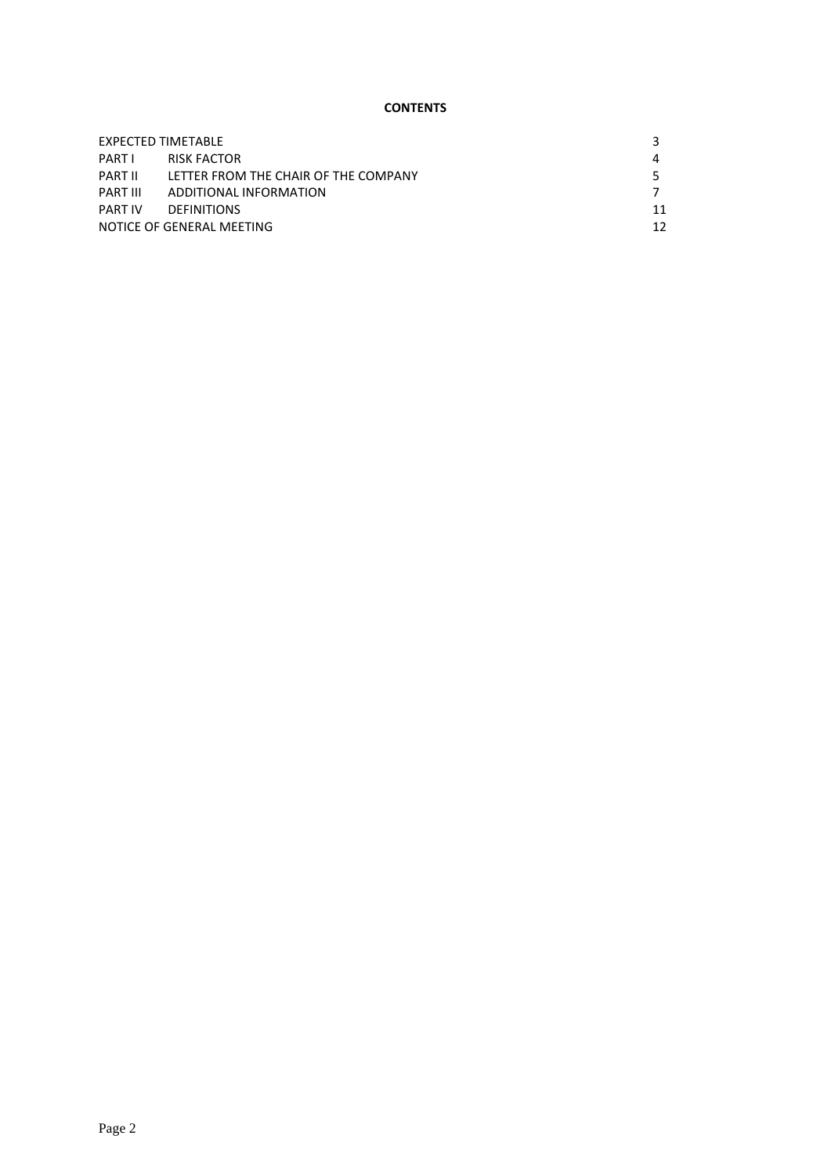# **CONTENTS**

| EXPECTED TIMETABLE        |                                      |    |
|---------------------------|--------------------------------------|----|
| PARTI                     | RISK FACTOR                          |    |
| PART II                   | LETTER FROM THE CHAIR OF THE COMPANY |    |
| PART III                  | ADDITIONAL INFORMATION               |    |
| PART IV                   | <b>DEFINITIONS</b>                   | 11 |
| NOTICE OF GENERAL MEETING |                                      | 12 |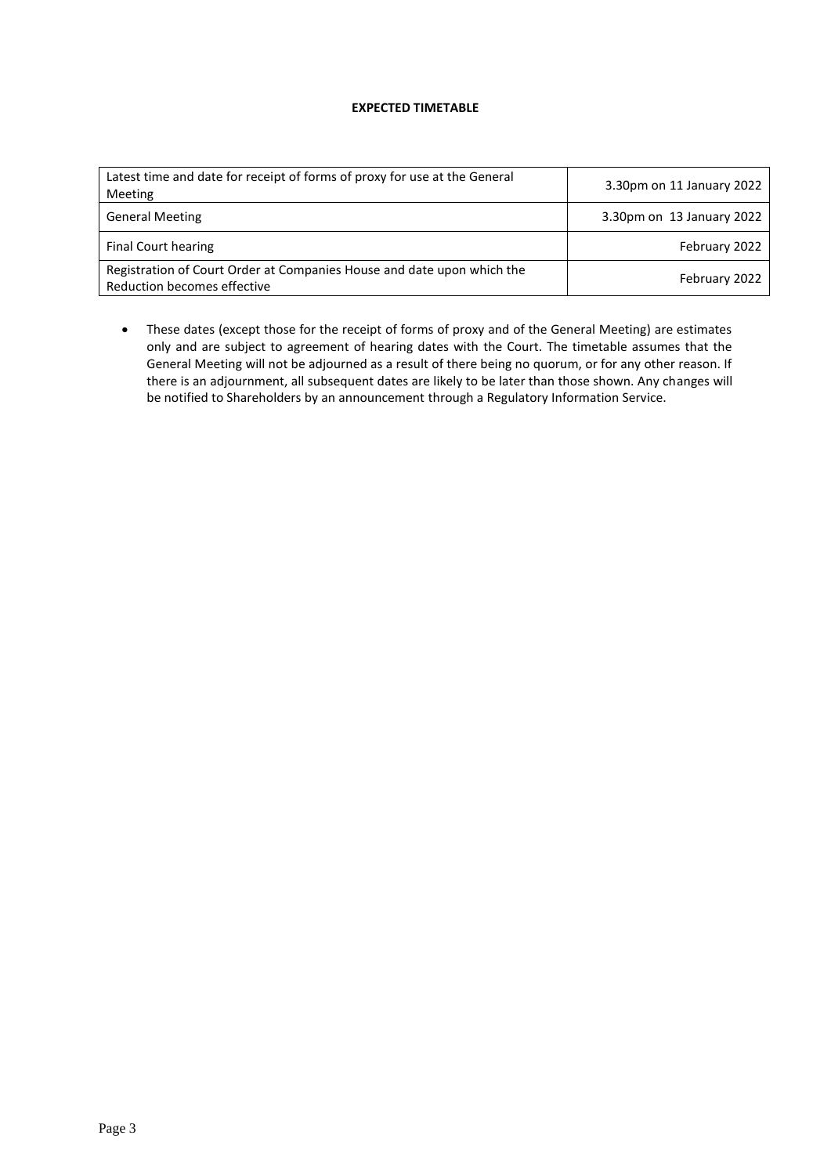### **EXPECTED TIMETABLE**

| Latest time and date for receipt of forms of proxy for use at the General<br>Meeting                  | 3.30pm on 11 January 2022 |
|-------------------------------------------------------------------------------------------------------|---------------------------|
| <b>General Meeting</b>                                                                                | 3.30pm on 13 January 2022 |
| <b>Final Court hearing</b>                                                                            | February 2022             |
| Registration of Court Order at Companies House and date upon which the<br>Reduction becomes effective | February 2022             |

• These dates (except those for the receipt of forms of proxy and of the General Meeting) are estimates only and are subject to agreement of hearing dates with the Court. The timetable assumes that the General Meeting will not be adjourned as a result of there being no quorum, or for any other reason. If there is an adjournment, all subsequent dates are likely to be later than those shown. Any changes will be notified to Shareholders by an announcement through a Regulatory Information Service.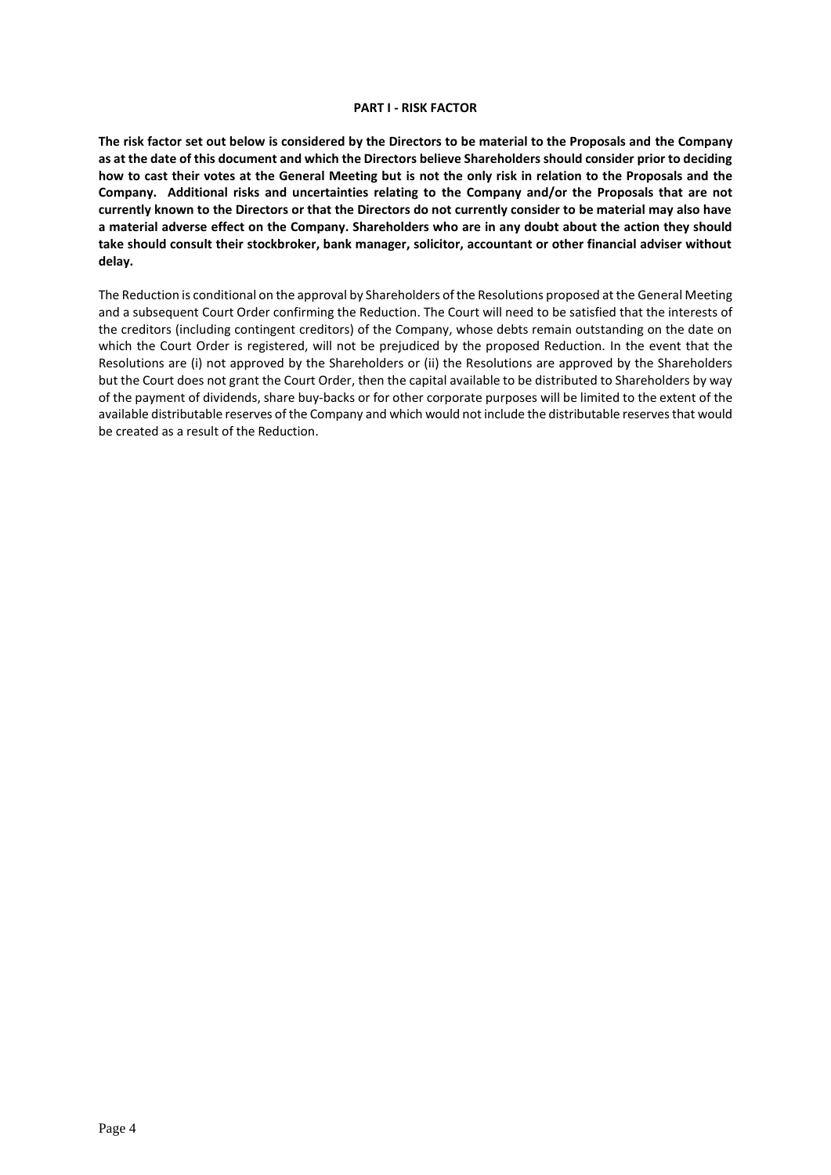#### **PART I - RISK FACTOR**

**The risk factor set out below is considered by the Directors to be material to the Proposals and the Company as at the date of this document and which the Directors believe Shareholders should consider prior to deciding how to cast their votes at the General Meeting but is not the only risk in relation to the Proposals and the Company. Additional risks and uncertainties relating to the Company and/or the Proposals that are not currently known to the Directors or that the Directors do not currently consider to be material may also have a material adverse effect on the Company. Shareholders who are in any doubt about the action they should take should consult their stockbroker, bank manager, solicitor, accountant or other financial adviser without delay.**

The Reduction is conditional on the approval by Shareholders of the Resolutions proposed at the General Meeting and a subsequent Court Order confirming the Reduction. The Court will need to be satisfied that the interests of the creditors (including contingent creditors) of the Company, whose debts remain outstanding on the date on which the Court Order is registered, will not be prejudiced by the proposed Reduction. In the event that the Resolutions are (i) not approved by the Shareholders or (ii) the Resolutions are approved by the Shareholders but the Court does not grant the Court Order, then the capital available to be distributed to Shareholders by way of the payment of dividends, share buy-backs or for other corporate purposes will be limited to the extent of the available distributable reserves of the Company and which would not include the distributable reserves that would be created as a result of the Reduction.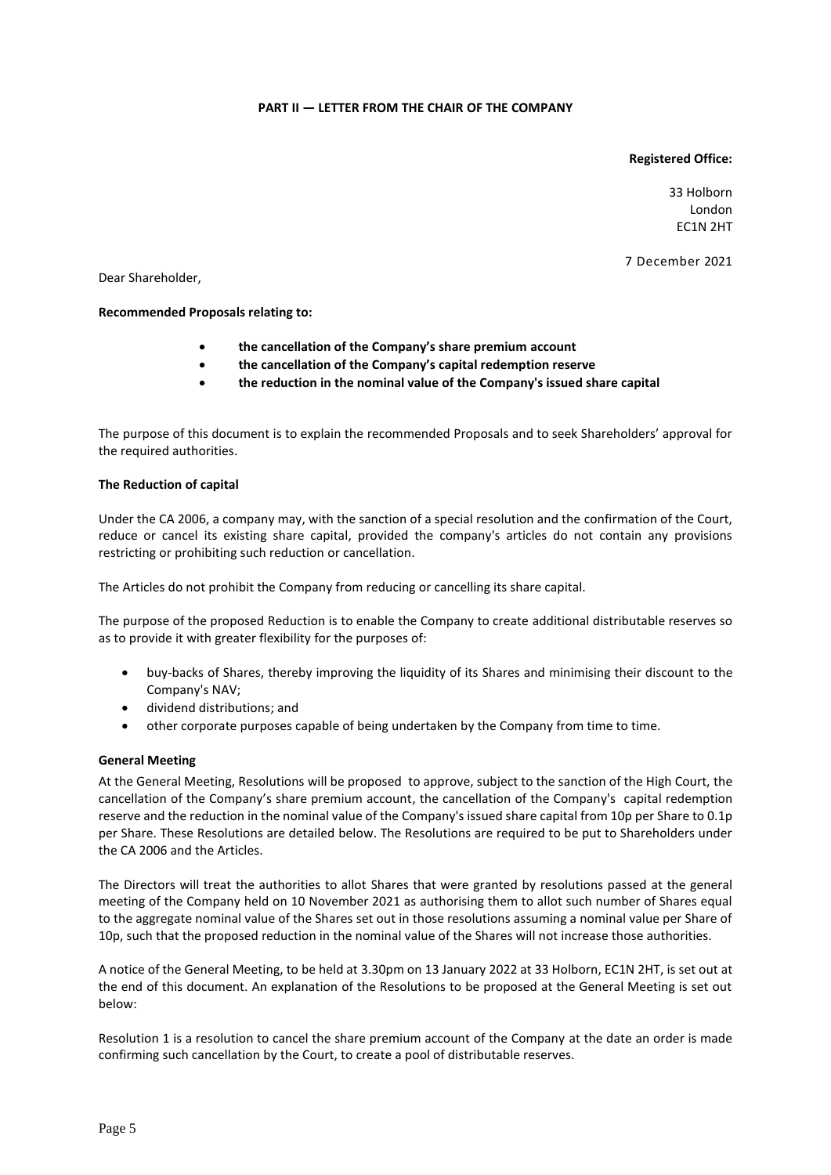### **PART II — LETTER FROM THE CHAIR OF THE COMPANY**

### **Registered Office:**

33 Holborn London EC1N 2HT

7 December 2021

Dear Shareholder,

#### **Recommended Proposals relating to:**

- **the cancellation of the Company's share premium account**
- **the cancellation of the Company's capital redemption reserve**
- **the reduction in the nominal value of the Company's issued share capital**

The purpose of this document is to explain the recommended Proposals and to seek Shareholders' approval for the required authorities.

#### **The Reduction of capital**

Under the CA 2006, a company may, with the sanction of a special resolution and the confirmation of the Court, reduce or cancel its existing share capital, provided the company's articles do not contain any provisions restricting or prohibiting such reduction or cancellation.

The Articles do not prohibit the Company from reducing or cancelling its share capital.

The purpose of the proposed Reduction is to enable the Company to create additional distributable reserves so as to provide it with greater flexibility for the purposes of:

- buy-backs of Shares, thereby improving the liquidity of its Shares and minimising their discount to the Company's NAV;
- dividend distributions; and
- other corporate purposes capable of being undertaken by the Company from time to time.

#### **General Meeting**

At the General Meeting, Resolutions will be proposed to approve, subject to the sanction of the High Court, the cancellation of the Company's share premium account, the cancellation of the Company's capital redemption reserve and the reduction in the nominal value of the Company's issued share capital from 10p per Share to 0.1p per Share. These Resolutions are detailed below. The Resolutions are required to be put to Shareholders under the CA 2006 and the Articles.

The Directors will treat the authorities to allot Shares that were granted by resolutions passed at the general meeting of the Company held on 10 November 2021 as authorising them to allot such number of Shares equal to the aggregate nominal value of the Shares set out in those resolutions assuming a nominal value per Share of 10p, such that the proposed reduction in the nominal value of the Shares will not increase those authorities.

A notice of the General Meeting, to be held at 3.30pm on 13 January 2022 at 33 Holborn, EC1N 2HT, is set out at the end of this document. An explanation of the Resolutions to be proposed at the General Meeting is set out below:

Resolution 1 is a resolution to cancel the share premium account of the Company at the date an order is made confirming such cancellation by the Court, to create a pool of distributable reserves.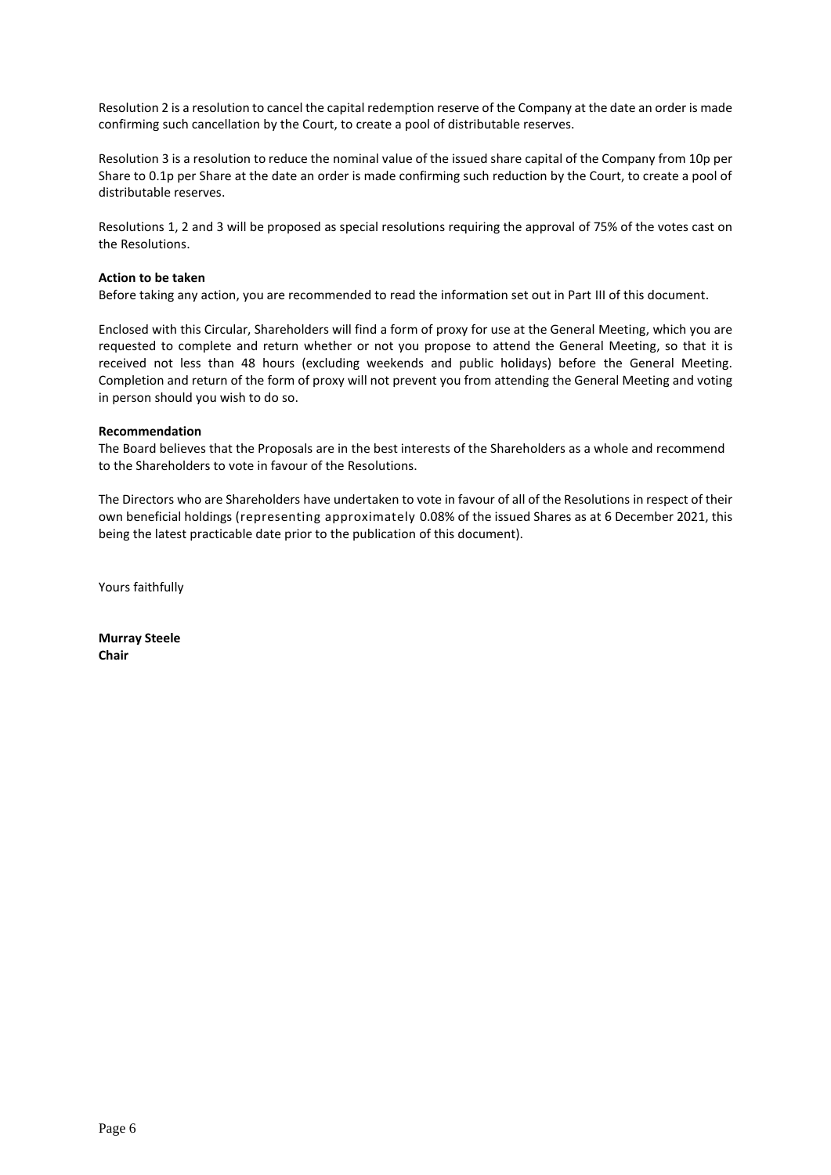Resolution 2 is a resolution to cancel the capital redemption reserve of the Company at the date an order is made confirming such cancellation by the Court, to create a pool of distributable reserves.

Resolution 3 is a resolution to reduce the nominal value of the issued share capital of the Company from 10p per Share to 0.1p per Share at the date an order is made confirming such reduction by the Court, to create a pool of distributable reserves.

Resolutions 1, 2 and 3 will be proposed as special resolutions requiring the approval of 75% of the votes cast on the Resolutions.

#### **Action to be taken**

Before taking any action, you are recommended to read the information set out in Part III of this document.

Enclosed with this Circular, Shareholders will find a form of proxy for use at the General Meeting, which you are requested to complete and return whether or not you propose to attend the General Meeting, so that it is received not less than 48 hours (excluding weekends and public holidays) before the General Meeting. Completion and return of the form of proxy will not prevent you from attending the General Meeting and voting in person should you wish to do so.

#### **Recommendation**

The Board believes that the Proposals are in the best interests of the Shareholders as a whole and recommend to the Shareholders to vote in favour of the Resolutions.

The Directors who are Shareholders have undertaken to vote in favour of all of the Resolutions in respect of their own beneficial holdings (representing approximately 0.08% of the issued Shares as at 6 December 2021, this being the latest practicable date prior to the publication of this document).

Yours faithfully

**Murray Steele Chair**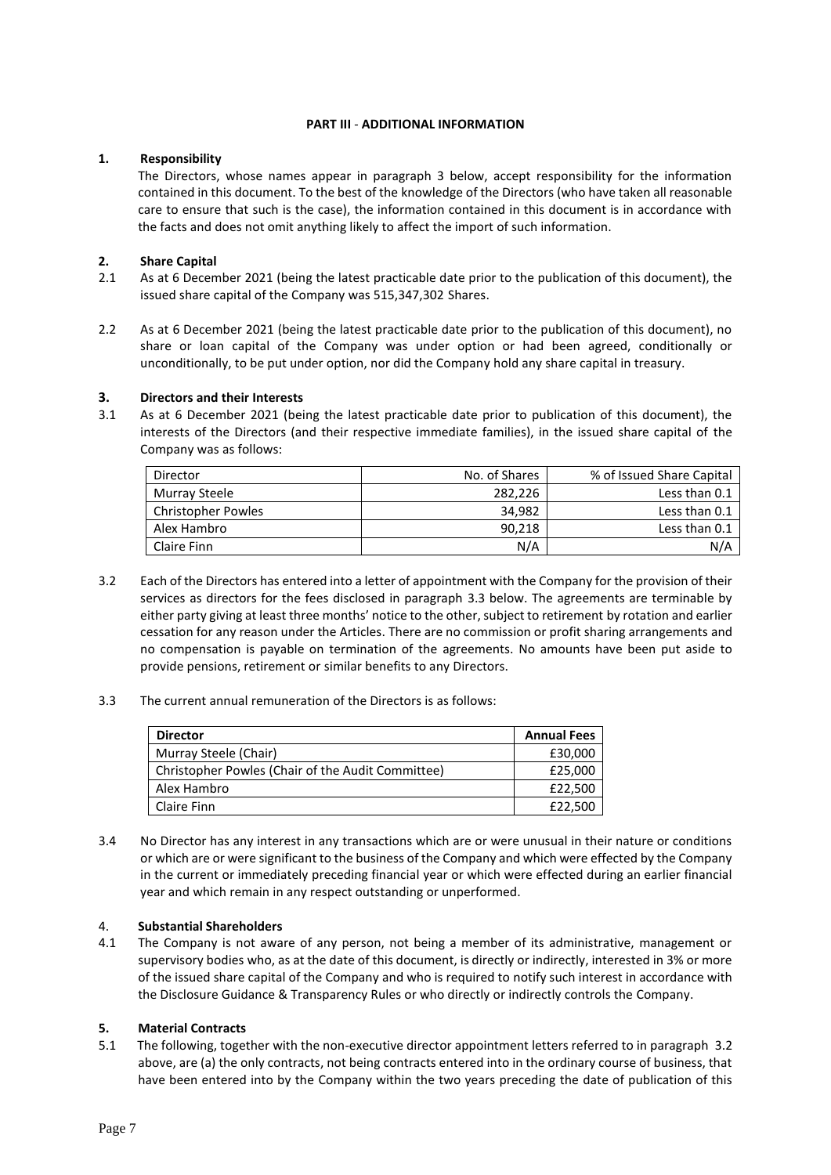### **PART III** - **ADDITIONAL INFORMATION**

# **1. Responsibility**

The Directors, whose names appear in paragraph 3 below, accept responsibility for the information contained in this document. To the best of the knowledge of the Directors (who have taken all reasonable care to ensure that such is the case), the information contained in this document is in accordance with the facts and does not omit anything likely to affect the import of such information.

# **2. Share Capital**

- 2.1 As at 6 December 2021 (being the latest practicable date prior to the publication of this document), the issued share capital of the Company was 515,347,302 Shares.
- 2.2 As at 6 December 2021 (being the latest practicable date prior to the publication of this document), no share or loan capital of the Company was under option or had been agreed, conditionally or unconditionally, to be put under option, nor did the Company hold any share capital in treasury.

# **3. Directors and their Interests**

3.1 As at 6 December 2021 (being the latest practicable date prior to publication of this document), the interests of the Directors (and their respective immediate families), in the issued share capital of the Company was as follows:

| Director                  | No. of Shares | % of Issued Share Capital |
|---------------------------|---------------|---------------------------|
| Murray Steele             | 282.226       | Less than 0.1             |
| <b>Christopher Powles</b> | 34.982        | Less than 0.1             |
| Alex Hambro               | 90,218        | Less than 0.1             |
| Claire Finn               | N/A           | N/A                       |

3.2 Each of the Directors has entered into a letter of appointment with the Company for the provision of their services as directors for the fees disclosed in paragraph 3.3 below. The agreements are terminable by either party giving at least three months' notice to the other, subject to retirement by rotation and earlier cessation for any reason under the Articles. There are no commission or profit sharing arrangements and no compensation is payable on termination of the agreements. No amounts have been put aside to provide pensions, retirement or similar benefits to any Directors.

### 3.3 The current annual remuneration of the Directors is as follows:

| <b>Director</b>                                   | <b>Annual Fees</b> |
|---------------------------------------------------|--------------------|
| Murray Steele (Chair)                             | £30,000            |
| Christopher Powles (Chair of the Audit Committee) | £25,000            |
| Alex Hambro                                       | £22.500            |
| Claire Finn                                       | £22,500            |

3.4 No Director has any interest in any transactions which are or were unusual in their nature or conditions or which are or were significant to the business of the Company and which were effected by the Company in the current or immediately preceding financial year or which were effected during an earlier financial year and which remain in any respect outstanding or unperformed.

# 4. **Substantial Shareholders**

4.1 The Company is not aware of any person, not being a member of its administrative, management or supervisory bodies who, as at the date of this document, is directly or indirectly, interested in 3% or more of the issued share capital of the Company and who is required to notify such interest in accordance with the Disclosure Guidance & Transparency Rules or who directly or indirectly controls the Company.

### **5. Material Contracts**

5.1 The following, together with the non-executive director appointment letters referred to in paragraph 3.2 above, are (a) the only contracts, not being contracts entered into in the ordinary course of business, that have been entered into by the Company within the two years preceding the date of publication of this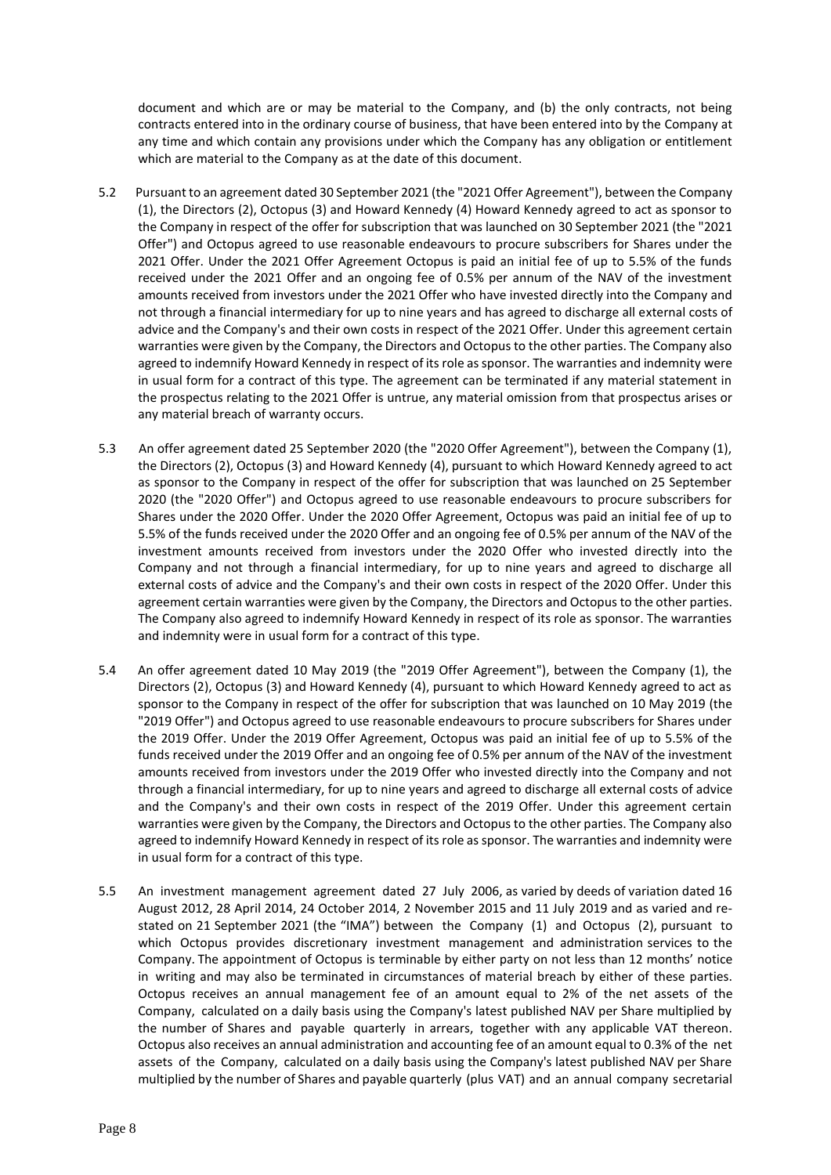document and which are or may be material to the Company, and (b) the only contracts, not being contracts entered into in the ordinary course of business, that have been entered into by the Company at any time and which contain any provisions under which the Company has any obligation or entitlement which are material to the Company as at the date of this document.

- 5.2 Pursuant to an agreement dated 30 September 2021 (the "2021 Offer Agreement"), between the Company (1), the Directors (2), Octopus (3) and Howard Kennedy (4) Howard Kennedy agreed to act as sponsor to the Company in respect of the offer for subscription that was launched on 30 September 2021 (the "2021 Offer") and Octopus agreed to use reasonable endeavours to procure subscribers for Shares under the 2021 Offer. Under the 2021 Offer Agreement Octopus is paid an initial fee of up to 5.5% of the funds received under the 2021 Offer and an ongoing fee of 0.5% per annum of the NAV of the investment amounts received from investors under the 2021 Offer who have invested directly into the Company and not through a financial intermediary for up to nine years and has agreed to discharge all external costs of advice and the Company's and their own costs in respect of the 2021 Offer. Under this agreement certain warranties were given by the Company, the Directors and Octopus to the other parties. The Company also agreed to indemnify Howard Kennedy in respect of its role as sponsor. The warranties and indemnity were in usual form for a contract of this type. The agreement can be terminated if any material statement in the prospectus relating to the 2021 Offer is untrue, any material omission from that prospectus arises or any material breach of warranty occurs.
- 5.3 An offer agreement dated 25 September 2020 (the "2020 Offer Agreement"), between the Company (1), the Directors (2), Octopus (3) and Howard Kennedy (4), pursuant to which Howard Kennedy agreed to act as sponsor to the Company in respect of the offer for subscription that was launched on 25 September 2020 (the "2020 Offer") and Octopus agreed to use reasonable endeavours to procure subscribers for Shares under the 2020 Offer. Under the 2020 Offer Agreement, Octopus was paid an initial fee of up to 5.5% of the funds received under the 2020 Offer and an ongoing fee of 0.5% per annum of the NAV of the investment amounts received from investors under the 2020 Offer who invested directly into the Company and not through a financial intermediary, for up to nine years and agreed to discharge all external costs of advice and the Company's and their own costs in respect of the 2020 Offer. Under this agreement certain warranties were given by the Company, the Directors and Octopus to the other parties. The Company also agreed to indemnify Howard Kennedy in respect of its role as sponsor. The warranties and indemnity were in usual form for a contract of this type.
- 5.4 An offer agreement dated 10 May 2019 (the "2019 Offer Agreement"), between the Company (1), the Directors (2), Octopus (3) and Howard Kennedy (4), pursuant to which Howard Kennedy agreed to act as sponsor to the Company in respect of the offer for subscription that was launched on 10 May 2019 (the "2019 Offer") and Octopus agreed to use reasonable endeavours to procure subscribers for Shares under the 2019 Offer. Under the 2019 Offer Agreement, Octopus was paid an initial fee of up to 5.5% of the funds received under the 2019 Offer and an ongoing fee of 0.5% per annum of the NAV of the investment amounts received from investors under the 2019 Offer who invested directly into the Company and not through a financial intermediary, for up to nine years and agreed to discharge all external costs of advice and the Company's and their own costs in respect of the 2019 Offer. Under this agreement certain warranties were given by the Company, the Directors and Octopus to the other parties. The Company also agreed to indemnify Howard Kennedy in respect of its role as sponsor. The warranties and indemnity were in usual form for a contract of this type.
- 5.5 An investment management agreement dated 27 July 2006, as varied by deeds of variation dated 16 August 2012, 28 April 2014, 24 October 2014, 2 November 2015 and 11 July 2019 and as varied and restated on 21 September 2021 (the "IMA") between the Company (1) and Octopus (2), pursuant to which Octopus provides discretionary investment management and administration services to the Company. The appointment of Octopus is terminable by either party on not less than 12 months' notice in writing and may also be terminated in circumstances of material breach by either of these parties. Octopus receives an annual management fee of an amount equal to 2% of the net assets of the Company, calculated on a daily basis using the Company's latest published NAV per Share multiplied by the number of Shares and payable quarterly in arrears, together with any applicable VAT thereon. Octopus also receives an annual administration and accounting fee of an amount equal to 0.3% of the net assets of the Company, calculated on a daily basis using the Company's latest published NAV per Share multiplied by the number of Shares and payable quarterly (plus VAT) and an annual company secretarial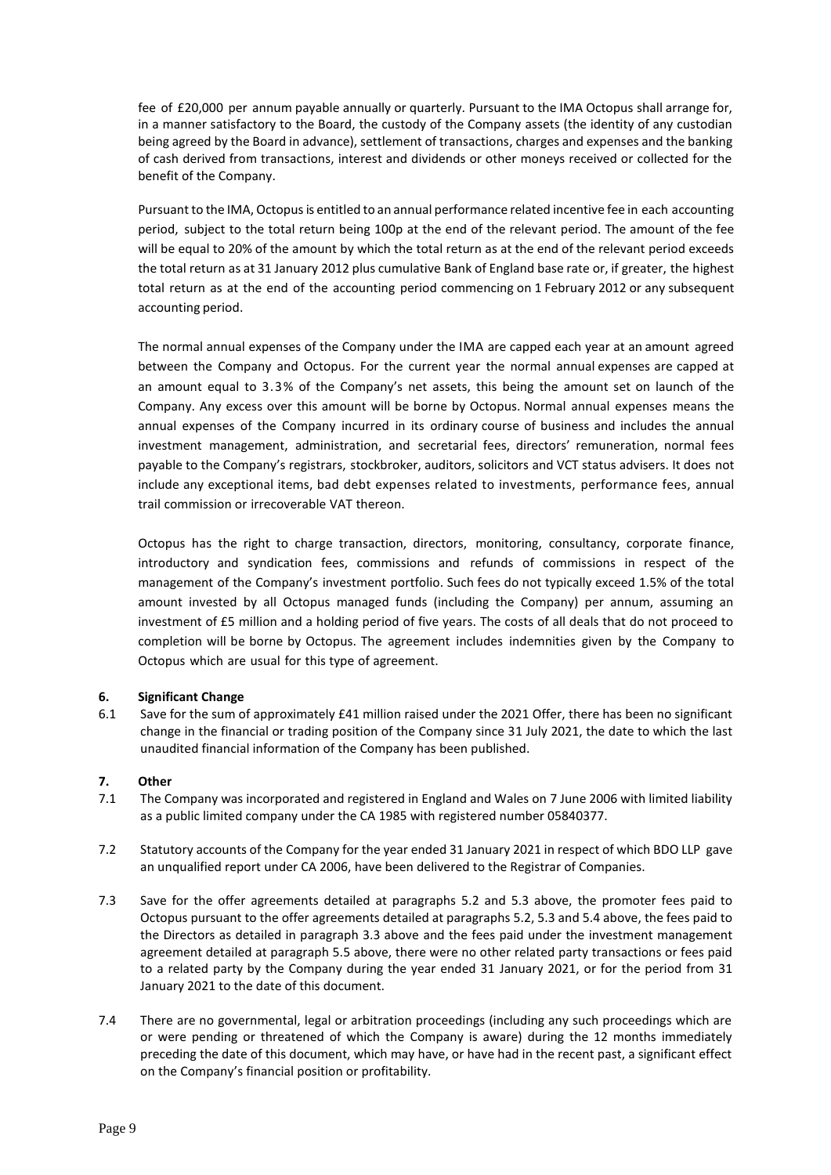fee of £20,000 per annum payable annually or quarterly. Pursuant to the IMA Octopus shall arrange for, in a manner satisfactory to the Board, the custody of the Company assets (the identity of any custodian being agreed by the Board in advance), settlement of transactions, charges and expenses and the banking of cash derived from transactions, interest and dividends or other moneys received or collected for the benefit of the Company.

Pursuant to the IMA, Octopusis entitled to an annual performance related incentive fee in each accounting period, subject to the total return being 100p at the end of the relevant period. The amount of the fee will be equal to 20% of the amount by which the total return as at the end of the relevant period exceeds the total return as at 31 January 2012 plus cumulative Bank of England base rate or, if greater, the highest total return as at the end of the accounting period commencing on 1 February 2012 or any subsequent accounting period.

The normal annual expenses of the Company under the IMA are capped each year at an amount agreed between the Company and Octopus. For the current year the normal annual expenses are capped at an amount equal to 3.3% of the Company's net assets, this being the amount set on launch of the Company. Any excess over this amount will be borne by Octopus. Normal annual expenses means the annual expenses of the Company incurred in its ordinary course of business and includes the annual investment management, administration, and secretarial fees, directors' remuneration, normal fees payable to the Company's registrars, stockbroker, auditors, solicitors and VCT status advisers. It does not include any exceptional items, bad debt expenses related to investments, performance fees, annual trail commission or irrecoverable VAT thereon.

Octopus has the right to charge transaction, directors, monitoring, consultancy, corporate finance, introductory and syndication fees, commissions and refunds of commissions in respect of the management of the Company's investment portfolio. Such fees do not typically exceed 1.5% of the total amount invested by all Octopus managed funds (including the Company) per annum, assuming an investment of £5 million and a holding period of five years. The costs of all deals that do not proceed to completion will be borne by Octopus. The agreement includes indemnities given by the Company to Octopus which are usual for this type of agreement.

# **6. Significant Change**

6.1 Save for the sum of approximately £41 million raised under the 2021 Offer, there has been no significant change in the financial or trading position of the Company since 31 July 2021, the date to which the last unaudited financial information of the Company has been published.

# **7. Other**

- 7.1 The Company was incorporated and registered in England and Wales on 7 June 2006 with limited liability as a public limited company under the CA 1985 with registered number 05840377.
- 7.2 Statutory accounts of the Company for the year ended 31 January 2021 in respect of which BDO LLP gave an unqualified report under CA 2006, have been delivered to the Registrar of Companies.
- 7.3 Save for the offer agreements detailed at paragraphs 5.2 and 5.3 above, the promoter fees paid to Octopus pursuant to the offer agreements detailed at paragraphs 5.2, 5.3 and 5.4 above, the fees paid to the Directors as detailed in paragraph 3.3 above and the fees paid under the investment management agreement detailed at paragraph 5.5 above, there were no other related party transactions or fees paid to a related party by the Company during the year ended 31 January 2021, or for the period from 31 January 2021 to the date of this document.
- 7.4 There are no governmental, legal or arbitration proceedings (including any such proceedings which are or were pending or threatened of which the Company is aware) during the 12 months immediately preceding the date of this document, which may have, or have had in the recent past, a significant effect on the Company's financial position or profitability.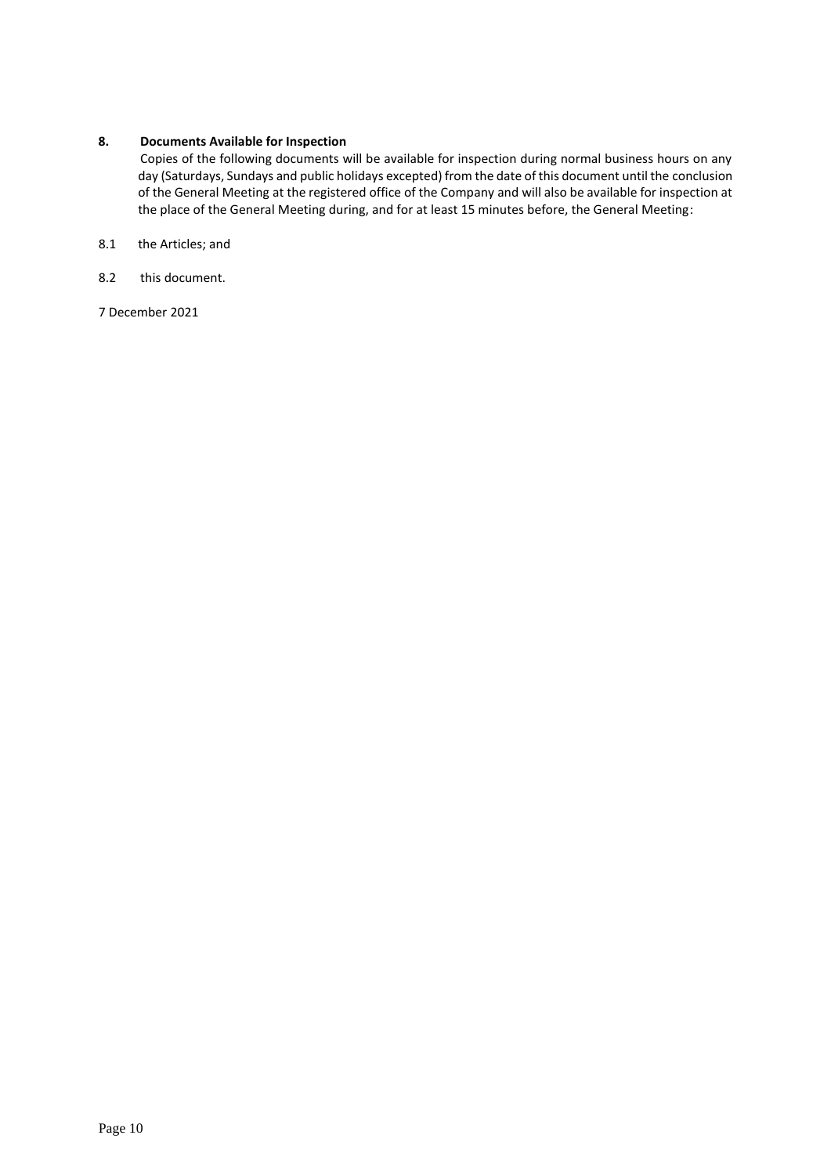# **8. Documents Available for Inspection**

Copies of the following documents will be available for inspection during normal business hours on any day (Saturdays, Sundays and public holidays excepted) from the date of this document until the conclusion of the General Meeting at the registered office of the Company and will also be available for inspection at the place of the General Meeting during, and for at least 15 minutes before, the General Meeting:

- 8.1 the Articles; and
- 8.2 this document.

7 December 2021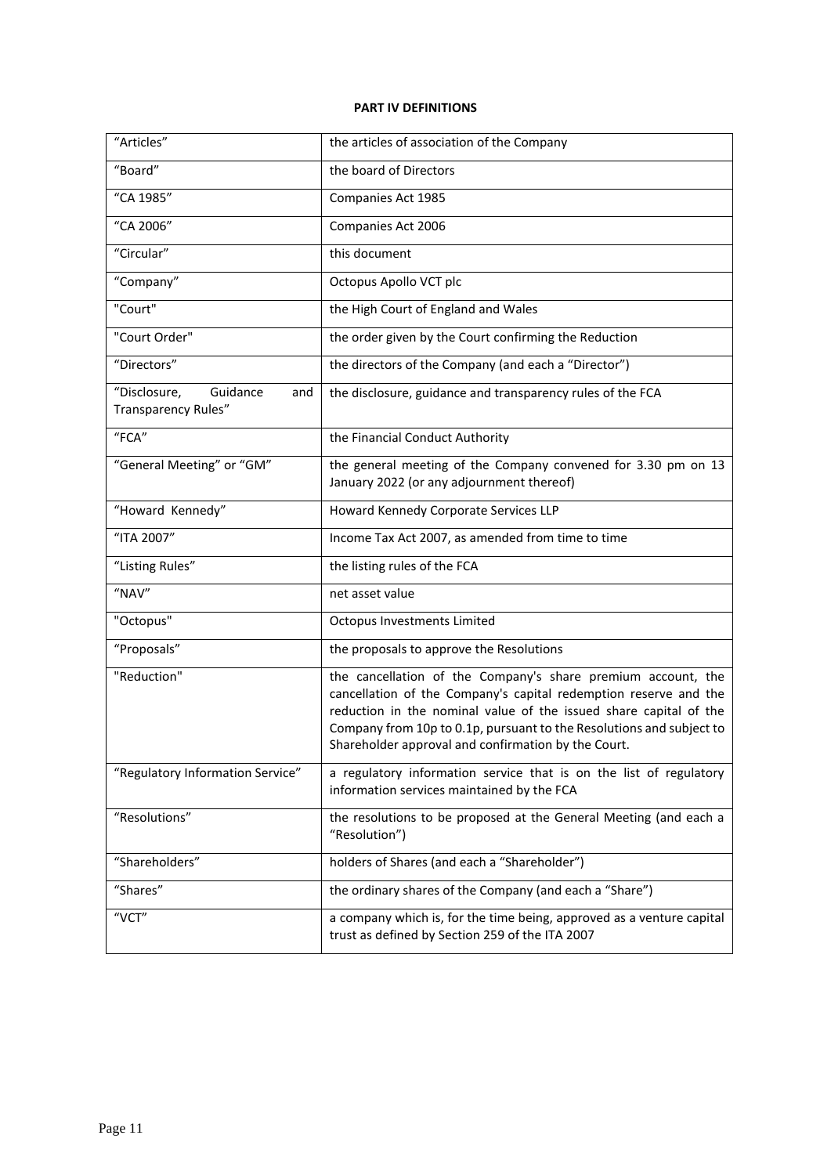# **PART IV DEFINITIONS**

| "Articles"                                             | the articles of association of the Company                                                                                                                                                                                                                                                                                           |
|--------------------------------------------------------|--------------------------------------------------------------------------------------------------------------------------------------------------------------------------------------------------------------------------------------------------------------------------------------------------------------------------------------|
| "Board"                                                | the board of Directors                                                                                                                                                                                                                                                                                                               |
| "CA 1985"                                              | Companies Act 1985                                                                                                                                                                                                                                                                                                                   |
| "CA 2006"                                              | Companies Act 2006                                                                                                                                                                                                                                                                                                                   |
| "Circular"                                             | this document                                                                                                                                                                                                                                                                                                                        |
| "Company"                                              | Octopus Apollo VCT plc                                                                                                                                                                                                                                                                                                               |
| "Court"                                                | the High Court of England and Wales                                                                                                                                                                                                                                                                                                  |
| "Court Order"                                          | the order given by the Court confirming the Reduction                                                                                                                                                                                                                                                                                |
| "Directors"                                            | the directors of the Company (and each a "Director")                                                                                                                                                                                                                                                                                 |
| "Disclosure,<br>Guidance<br>and<br>Transparency Rules" | the disclosure, guidance and transparency rules of the FCA                                                                                                                                                                                                                                                                           |
| "FCA"                                                  | the Financial Conduct Authority                                                                                                                                                                                                                                                                                                      |
| "General Meeting" or "GM"                              | the general meeting of the Company convened for 3.30 pm on 13<br>January 2022 (or any adjournment thereof)                                                                                                                                                                                                                           |
| "Howard Kennedy"                                       | Howard Kennedy Corporate Services LLP                                                                                                                                                                                                                                                                                                |
| "ITA 2007"                                             | Income Tax Act 2007, as amended from time to time                                                                                                                                                                                                                                                                                    |
| "Listing Rules"                                        | the listing rules of the FCA                                                                                                                                                                                                                                                                                                         |
| "NAV"                                                  | net asset value                                                                                                                                                                                                                                                                                                                      |
| "Octopus"                                              | Octopus Investments Limited                                                                                                                                                                                                                                                                                                          |
| "Proposals"                                            | the proposals to approve the Resolutions                                                                                                                                                                                                                                                                                             |
| "Reduction"                                            | the cancellation of the Company's share premium account, the<br>cancellation of the Company's capital redemption reserve and the<br>reduction in the nominal value of the issued share capital of the<br>Company from 10p to 0.1p, pursuant to the Resolutions and subject to<br>Shareholder approval and confirmation by the Court. |
| "Regulatory Information Service"                       | a regulatory information service that is on the list of regulatory<br>information services maintained by the FCA                                                                                                                                                                                                                     |
| "Resolutions"                                          | the resolutions to be proposed at the General Meeting (and each a<br>"Resolution")                                                                                                                                                                                                                                                   |
| "Shareholders"                                         | holders of Shares (and each a "Shareholder")                                                                                                                                                                                                                                                                                         |
| "Shares"                                               | the ordinary shares of the Company (and each a "Share")                                                                                                                                                                                                                                                                              |
| "VCT"                                                  | a company which is, for the time being, approved as a venture capital<br>trust as defined by Section 259 of the ITA 2007                                                                                                                                                                                                             |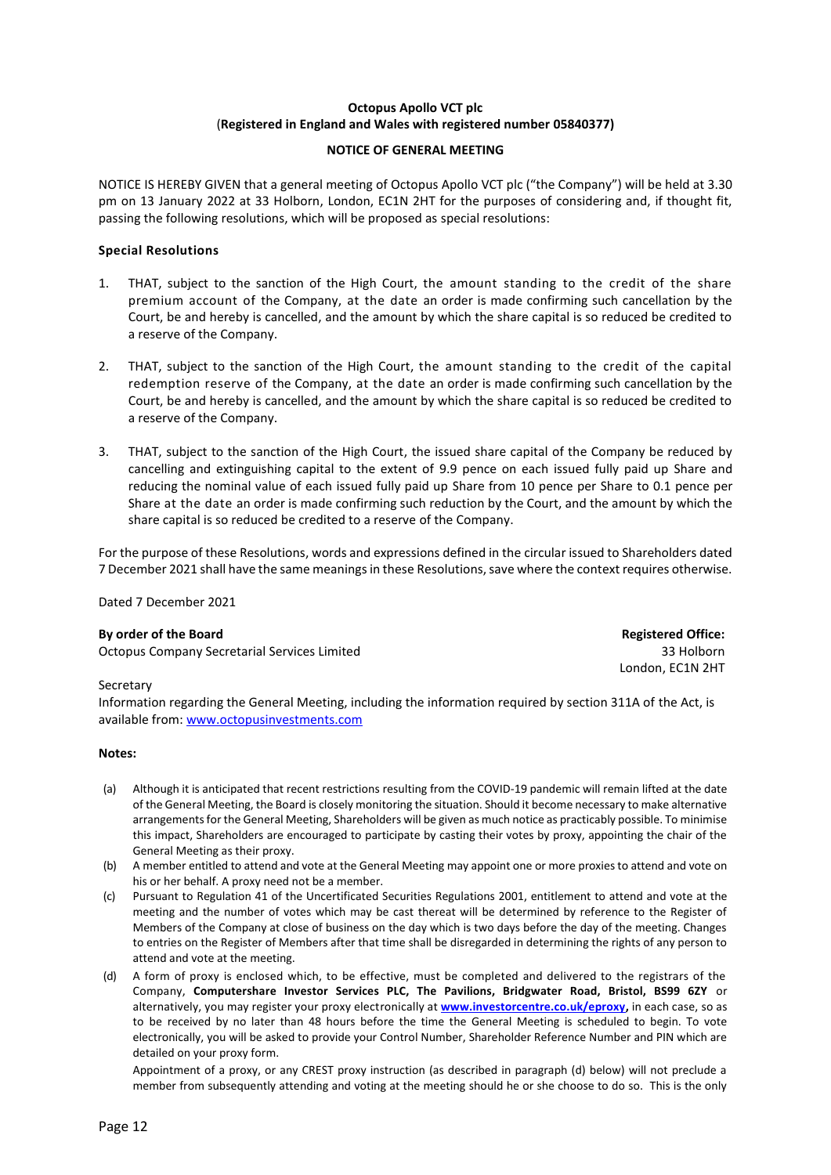# **Octopus Apollo VCT plc** (**Registered in England and Wales with registered number 05840377)**

### **NOTICE OF GENERAL MEETING**

NOTICE IS HEREBY GIVEN that a general meeting of Octopus Apollo VCT plc ("the Company") will be held at 3.30 pm on 13 January 2022 at 33 Holborn, London, EC1N 2HT for the purposes of considering and, if thought fit, passing the following resolutions, which will be proposed as special resolutions:

# **Special Resolutions**

- 1. THAT, subject to the sanction of the High Court, the amount standing to the credit of the share premium account of the Company, at the date an order is made confirming such cancellation by the Court, be and hereby is cancelled, and the amount by which the share capital is so reduced be credited to a reserve of the Company.
- 2. THAT, subject to the sanction of the High Court, the amount standing to the credit of the capital redemption reserve of the Company, at the date an order is made confirming such cancellation by the Court, be and hereby is cancelled, and the amount by which the share capital is so reduced be credited to a reserve of the Company.
- 3. THAT, subject to the sanction of the High Court, the issued share capital of the Company be reduced by cancelling and extinguishing capital to the extent of 9.9 pence on each issued fully paid up Share and reducing the nominal value of each issued fully paid up Share from 10 pence per Share to 0.1 pence per Share at the date an order is made confirming such reduction by the Court, and the amount by which the share capital is so reduced be credited to a reserve of the Company.

For the purpose of these Resolutions, words and expressions defined in the circular issued to Shareholders dated 7 December 2021 shall have the same meanings in these Resolutions, save where the context requires otherwise.

Dated 7 December 2021

### **By order of the Board Registered Office:**

Octopus Company Secretarial Services Limited

33 Holborn London, EC1N 2HT

### Secretary

Information regarding the General Meeting, including the information required by section 311A of the Act, is available from[: www.octopusinvestments.com](http://www.octopusinvestments.com/)

### **Notes:**

- (a) Although it is anticipated that recent restrictions resulting from the COVID-19 pandemic will remain lifted at the date of the General Meeting, the Board is closely monitoring the situation. Should it become necessary to make alternative arrangements for the General Meeting, Shareholders will be given as much notice as practicably possible. To minimise this impact, Shareholders are encouraged to participate by casting their votes by proxy, appointing the chair of the General Meeting as their proxy.
- (b) A member entitled to attend and vote at the General Meeting may appoint one or more proxies to attend and vote on his or her behalf. A proxy need not be a member.
- (c) Pursuant to Regulation 41 of the Uncertificated Securities Regulations 2001, entitlement to attend and vote at the meeting and the number of votes which may be cast thereat will be determined by reference to the Register of Members of the Company at close of business on the day which is two days before the day of the meeting. Changes to entries on the Register of Members after that time shall be disregarded in determining the rights of any person to attend and vote at the meeting.
- (d) A form of proxy is enclosed which, to be effective, must be completed and delivered to the registrars of the Company, **Computershare Investor Services PLC, The Pavilions, Bridgwater Road, Bristol, BS99 6ZY** or alternatively, you may register your proxy electronically at **[www.investorcentre.co.uk/eproxy,](http://www.investorcentre.co.uk/eproxy)** in each case, so as to be received by no later than 48 hours before the time the General Meeting is scheduled to begin. To vote electronically, you will be asked to provide your Control Number, Shareholder Reference Number and PIN which are detailed on your proxy form.

Appointment of a proxy, or any CREST proxy instruction (as described in paragraph (d) below) will not preclude a member from subsequently attending and voting at the meeting should he or she choose to do so. This is the only